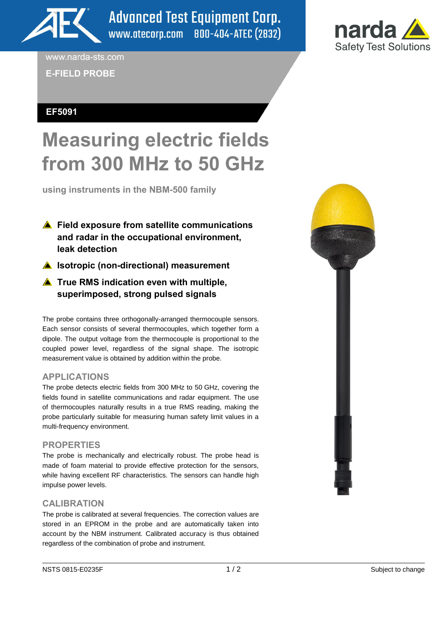

**Advanced Test Equipment Corp.** www.atecorp.com 800-404-ATEC (2832)



www.narda-sts.com

**E-FIELD PROBE**

# **EF5091**

# **Measuring electric fields from 300 MHz to 50 GHz**

**using instruments in the NBM-500 family** 

- **▲ Field exposure from satellite communications and radar in the occupational environment, leak detection**
- **A** Isotropic (non-directional) measurement
- **▲ True RMS indication even with multiple, superimposed, strong pulsed signals**

The probe contains three orthogonally-arranged thermocouple sensors. Each sensor consists of several thermocouples, which together form a dipole. The output voltage from the thermocouple is proportional to the coupled power level, regardless of the signal shape. The isotropic measurement value is obtained by addition within the probe.

# **APPLICATIONS**

The probe detects electric fields from 300 MHz to 50 GHz, covering the fields found in satellite communications and radar equipment. The use of thermocouples naturally results in a true RMS reading, making the probe particularly suitable for measuring human safety limit values in a multi-frequency environment.

## **PROPERTIES**

The probe is mechanically and electrically robust. The probe head is made of foam material to provide effective protection for the sensors, while having excellent RF characteristics. The sensors can handle high impulse power levels.

## **CALIBRATION**

The probe is calibrated at several frequencies. The correction values are stored in an EPROM in the probe and are automatically taken into account by the NBM instrument. Calibrated accuracy is thus obtained regardless of the combination of probe and instrument.